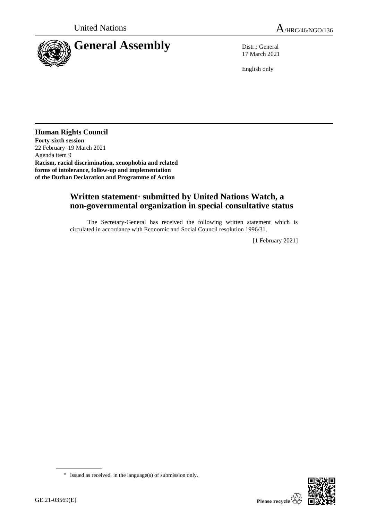

17 March 2021

English only

**Human Rights Council Forty-sixth session** 22 February–19 March 2021 Agenda item 9 **Racism, racial discrimination, xenophobia and related forms of intolerance, follow-up and implementation of the Durban Declaration and Programme of Action**

## **Written statement**\* **submitted by United Nations Watch, a non-governmental organization in special consultative status**

The Secretary-General has received the following written statement which is circulated in accordance with Economic and Social Council resolution 1996/31.

[1 February 2021]



<sup>\*</sup> Issued as received, in the language(s) of submission only.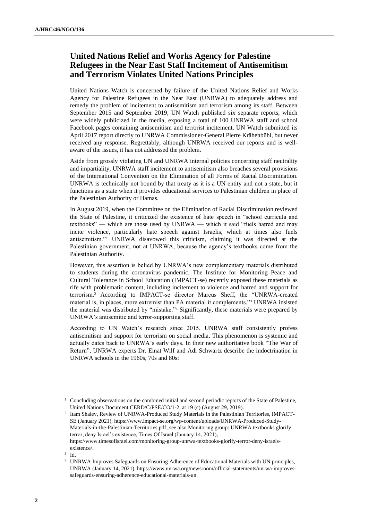## **United Nations Relief and Works Agency for Palestine Refugees in the Near East Staff Incitement of Antisemitism and Terrorism Violates United Nations Principles**

United Nations Watch is concerned by failure of the United Nations Relief and Works Agency for Palestine Refugees in the Near East (UNRWA) to adequately address and remedy the problem of incitement to antisemitism and terrorism among its staff. Between September 2015 and September 2019, UN Watch published six separate reports, which were widely publicized in the media, exposing a total of 100 UNRWA staff and school Facebook pages containing antisemitism and terrorist incitement. UN Watch submitted its April 2017 report directly to UNRWA Commissioner-General Pierre Krähenbühl, but never received any response. Regrettably, although UNRWA received our reports and is wellaware of the issues, it has not addressed the problem.

Aside from grossly violating UN and UNRWA internal policies concerning staff neutrality and impartiality, UNRWA staff incitement to antisemitism also breaches several provisions of the International Convention on the Elimination of all Forms of Racial Discrimination. UNRWA is technically not bound by that treaty as it is a UN entity and not a state, but it functions as a state when it provides educational services to Palestinian children in place of the Palestinian Authority or Hamas.

In August 2019, when the Committee on the Elimination of Racial Discrimination reviewed the State of Palestine, it criticized the existence of hate speech in "school curricula and textbooks" — which are those used by UNRWA — which it said "fuels hatred and may incite violence, particularly hate speech against Israelis, which at times also fuels antisemitism."<sup>1</sup> UNRWA disavowed this criticism, claiming it was directed at the Palestinian government, not at UNRWA, because the agency's textbooks come from the Palestinian Authority.

However, this assertion is belied by UNRWA's new complementary materials distributed to students during the coronavirus pandemic. The Institute for Monitoring Peace and Cultural Tolerance in School Education (IMPACT-se) recently exposed these materials as rife with problematic content, including incitement to violence and hatred and support for terrorism.<sup>2</sup> According to IMPACT-se director Marcus Sheff, the "UNRWA-created material is, in places, more extremist than PA material it complements."<sup>3</sup> UNRWA insisted the material was distributed by "mistake."<sup>4</sup> Significantly, these materials were prepared by UNRWA's antisemitic and terror-supporting staff.

According to UN Watch's research since 2015, UNRWA staff consistently profess antisemitism and support for terrorism on social media. This phenomenon is systemic and actually dates back to UNRWA's early days. In their new authoritative book "The War of Return", UNRWA experts Dr. Einat Wilf and Adi Schwartz describe the indoctrination in UNRWA schools in the 1960s, 70s and 80s:

<sup>&</sup>lt;sup>1</sup> Concluding observations on the combined initial and second periodic reports of the State of Palestine, United Nations Document CERD/C/PSE/CO/1-2, at 19 (c) (August 29, 2019).

<sup>2</sup> Itam Shalev, Review of UNRWA-Produced Study Materials in the Palestinian Territories, IMPACT-SE (January 2021), https://www.impact-se.org/wp-content/uploads/UNRWA-Produced-Study-Materials-in-the-Palestinian-Territories.pdf; see also Monitoring group: UNRWA textbooks glorify terror, deny Israel's existence, Times Of Israel (January 14, 2021), https://www.timesofisrael.com/monitoring-group-unrwa-textbooks-glorify-terror-deny-israelsexistence/.

<sup>3</sup> Id.

<sup>4</sup> UNRWA Improves Safeguards on Ensuring Adherence of Educational Materials with UN principles, UNRWA (January 14, 2021), https://www.unrwa.org/newsroom/official-statements/unrwa-improvessafeguards-ensuring-adherence-educational-materials-un.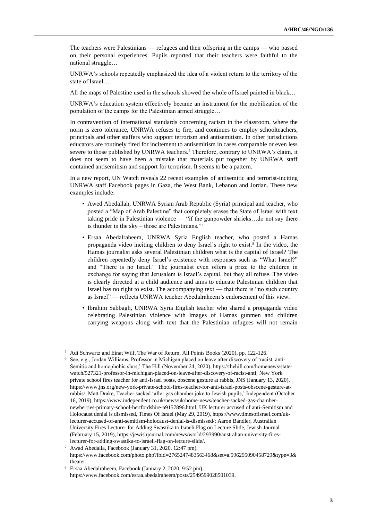The teachers were Palestinians — refugees and their offspring in the camps — who passed on their personal experiences. Pupils reported that their teachers were faithful to the national struggle…

UNRWA's schools repeatedly emphasized the idea of a violent return to the territory of the state of Israel…

All the maps of Palestine used in the schools showed the whole of Israel painted in black…

UNRWA's education system effectively became an instrument for the mobilization of the population of the camps for the Palestinian armed struggle…<sup>5</sup>

In contravention of international standards concerning racism in the classroom, where the norm is zero tolerance, UNRWA refuses to fire, and continues to employ schoolteachers, principals and other staffers who support terrorism and antisemitism. In other jurisdictions educators are routinely fired for incitement to antisemitism in cases comparable or even less severe to those published by UNRWA teachers.<sup>6</sup> Therefore, contrary to UNRWA's claim, it does not seem to have been a mistake that materials put together by UNRWA staff contained antisemitism and support for terrorism. It seems to be a pattern.

In a new report, UN Watch reveals 22 recent examples of antisemitic and terrorist-inciting UNRWA staff Facebook pages in Gaza, the West Bank, Lebanon and Jordan. These new examples include:

- Awed Abedallah, UNRWA Syrian Arab Republic (Syria) principal and teacher, who posted a "Map of Arab Palestine" that completely erases the State of Israel with text taking pride in Palestinian violence — "if the gunpowder shrieks…do not say there is thunder in the sky – those are Palestinians."<sup>7</sup>
- Ersaa Abedalraheem, UNRWA Syria English teacher, who posted a Hamas propaganda video inciting children to deny Israel's right to exist.<sup>8</sup> In the video, the Hamas journalist asks several Palestinian children what is the capital of Israel? The children repeatedly deny Israel's existence with responses such as "What Israel?" and "There is no Israel." The journalist even offers a prize to the children in exchange for saying that Jerusalem is Israel's capital, but they all refuse. The video is clearly directed at a child audience and aims to educate Palestinian children that Israel has no right to exist. The accompanying text — that there is "no such country as Israel" — reflects UNRWA teacher Abedalraheem's endorsement of this view.
- Ibrahim Sabbagh, UNRWA Syria English teacher who shared a propaganda video celebrating Palestinian violence with images of Hamas gunmen and children carrying weapons along with text that the Palestinian refugees will not remain

<sup>5</sup> Adi Schwartz and Einat Wilf, The War of Return, All Points Books (2020), pp. 122-126.

<sup>6</sup> See, e.g., Jordan Williams, Professor in Michigan placed on leave after discovery of 'racist, anti-Semitic and homophobic slurs,' The Hill (November 24, 2020), https://thehill.com/homenews/statewatch/527321-professor-in-michigan-placed-on-leave-after-discovery-of-racist-anti; New York private school fires teacher for anti-Israel posts, obscene gesture at rabbis, JNS (January 13, 2020), https://www.jns.org/new-york-private-school-fires-teacher-for-anti-israel-posts-obscene-gesture-atrabbis/; Matt Drake, Teacher sacked 'after gas chamber joke to Jewish pupils,' Independent (October 16, 2019), https://www.independent.co.uk/news/uk/home-news/teacher-sacked-gas-chambernewberries-primary-school-hertfordshire-a9157896.html; UK lecturer accused of anti-Semitism and Holocaust denial is dismissed, Times Of Israel (May 29, 2019), https://www.timesofisrael.com/uklecturer-accused-of-anti-semitism-holocaust-denial-is-dismissed/; Aaron Bandler, Australian University Fires Lecturer for Adding Swastika to Israeli Flag on Lecture Slide, Jewish Journal (February 15, 2019), https://jewishjournal.com/news/world/293990/australian-university-fireslecturer-for-adding-swastika-to-israeli-flag-on-lecture-slide/.

<sup>7</sup> Awad Abedalla, Facebook (January 31, 2020, 12:47 pm), https://www.facebook.com/photo.php?fbid=2765247483563468&set=a.596295090458729&type=3& theater.

<sup>8</sup> Ersaa Abedalraheem, Facebook (January 2, 2020, 9:52 pm), https://www.facebook.com/esraa.abedalraheem/posts/2549599028501039.